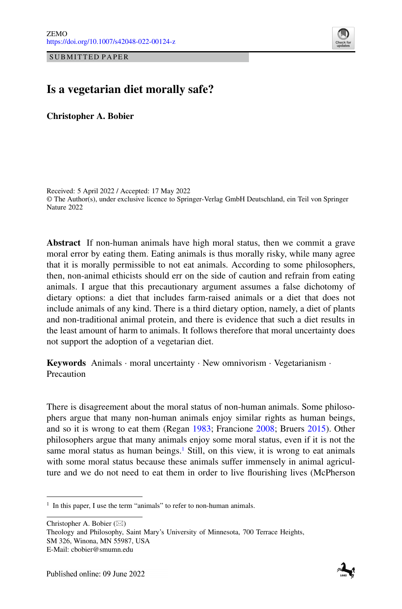SUBMITTED PAPER



# **Is a vegetarian diet morally safe?**

**Christopher A. Bobier**

Received: 5 April 2022 / Accepted: 17 May 2022 © The Author(s), under exclusive licence to Springer-Verlag GmbH Deutschland, ein Teil von Springer Nature 2022

**Abstract** If non-human animals have high moral status, then we commit a grave moral error by eating them. Eating animals is thus morally risky, while many agree that it is morally permissible to not eat animals. According to some philosophers, then, non-animal ethicists should err on the side of caution and refrain from eating animals. I argue that this precautionary argument assumes a false dichotomy of dietary options: a diet that includes farm-raised animals or a diet that does not include animals of any kind. There is a third dietary option, namely, a diet of plants and non-traditional animal protein, and there is evidence that such a diet results in the least amount of harm to animals. It follows therefore that moral uncertainty does not support the adoption of a vegetarian diet.

**Keywords** Animals · moral uncertainty · New omnivorism · Vegetarianism · Precaution

There is disagreement about the moral status of non-human animals. Some philosophers argue that many non-human animals enjoy similar rights as human beings, and so it is wrong to eat them (Regan [1983;](#page-17-0) Francione [2008;](#page-16-0) Bruers [2015\)](#page-15-0). Other philosophers argue that many animals enjoy some moral status, even if it is not the same moral status as human beings.<sup>1</sup> Still, on this view, it is wrong to eat animals with some moral status because these animals suffer immensely in animal agriculture and we do not need to eat them in order to live flourishing lives (McPherson

Christopher A. Bobier  $(\boxtimes)$ Theology and Philosophy, Saint Mary's University of Minnesota, 700 Terrace Heights, SM 326, Winona, MN 55987, USA E-Mail: cbobier@smumn.edu



<span id="page-0-0"></span><sup>&</sup>lt;sup>1</sup> In this paper, I use the term "animals" to refer to non-human animals.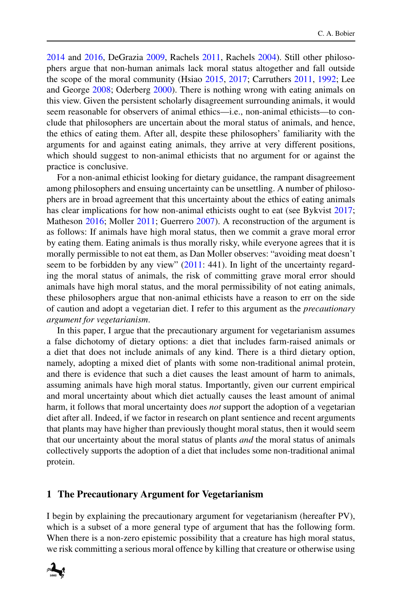[2014](#page-17-1) and [2016,](#page-17-2) DeGrazia [2009,](#page-16-1) Rachels [2011,](#page-17-3) Rachels [2004\)](#page-17-4). Still other philosophers argue that non-human animals lack moral status altogether and fall outside the scope of the moral community (Hsiao [2015,](#page-16-2) [2017;](#page-16-3) Carruthers [2011,](#page-15-1) [1992;](#page-15-2) Lee and George [2008;](#page-16-4) Oderberg [2000\)](#page-17-5). There is nothing wrong with eating animals on this view. Given the persistent scholarly disagreement surrounding animals, it would seem reasonable for observers of animal ethics—i.e., non-animal ethicists—to conclude that philosophers are uncertain about the moral status of animals, and hence, the ethics of eating them. After all, despite these philosophers' familiarity with the arguments for and against eating animals, they arrive at very different positions, which should suggest to non-animal ethicists that no argument for or against the practice is conclusive.

For a non-animal ethicist looking for dietary guidance, the rampant disagreement among philosophers and ensuing uncertainty can be unsettling. A number of philosophers are in broad agreement that this uncertainty about the ethics of eating animals has clear implications for how non-animal ethicists ought to eat (see Bykvist [2017;](#page-15-3) Matheson [2016;](#page-17-6) Moller [2011;](#page-17-7) Guerrero [2007\)](#page-16-5). A reconstruction of the argument is as follows: If animals have high moral status, then we commit a grave moral error by eating them. Eating animals is thus morally risky, while everyone agrees that it is morally permissible to not eat them, as Dan Moller observes: "avoiding meat doesn't seem to be forbidden by any view" [\(2011:](#page-17-7) 441). In light of the uncertainty regarding the moral status of animals, the risk of committing grave moral error should animals have high moral status, and the moral permissibility of not eating animals, these philosophers argue that non-animal ethicists have a reason to err on the side of caution and adopt a vegetarian diet. I refer to this argument as the *precautionary argument for vegetarianism*.

In this paper, I argue that the precautionary argument for vegetarianism assumes a false dichotomy of dietary options: a diet that includes farm-raised animals or a diet that does not include animals of any kind. There is a third dietary option, namely, adopting a mixed diet of plants with some non-traditional animal protein, and there is evidence that such a diet causes the least amount of harm to animals, assuming animals have high moral status. Importantly, given our current empirical and moral uncertainty about which diet actually causes the least amount of animal harm, it follows that moral uncertainty does *not* support the adoption of a vegetarian diet after all. Indeed, if we factor in research on plant sentience and recent arguments that plants may have higher than previously thought moral status, then it would seem that our uncertainty about the moral status of plants *and* the moral status of animals collectively supports the adoption of a diet that includes some non-traditional animal protein.

## **1 The Precautionary Argument for Vegetarianism**

I begin by explaining the precautionary argument for vegetarianism (hereafter PV), which is a subset of a more general type of argument that has the following form. When there is a non-zero epistemic possibility that a creature has high moral status, we risk committing a serious moral offence by killing that creature or otherwise using

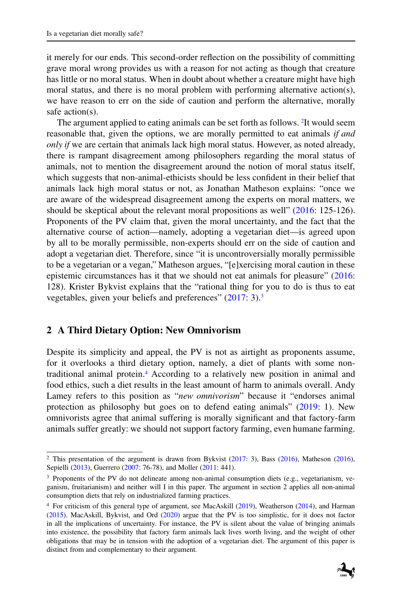it merely for our ends. This second-order reflection on the possibility of committing grave moral wrong provides us with a reason for not acting as though that creature has little or no moral status. When in doubt about whether a creature might have high moral status, and there is no moral problem with performing alternative action(s), we have reason to err on the side of caution and perform the alternative, morally safe action(s).

The argument applied to eating animals can be set forth as follows. <sup>2</sup>It would seem reasonable that, given the options, we are morally permitted to eat animals *if and only if* we are certain that animals lack high moral status. However, as noted already, there is rampant disagreement among philosophers regarding the moral status of animals, not to mention the disagreement around the notion of moral status itself, which suggests that non-animal-ethicists should be less confident in their belief that animals lack high moral status or not, as Jonathan Matheson explains: "once we are aware of the widespread disagreement among the experts on moral matters, we should be skeptical about the relevant moral propositions as well" [\(2016:](#page-17-6) 125-126). Proponents of the PV claim that, given the moral uncertainty, and the fact that the alternative course of action—namely, adopting a vegetarian diet—is agreed upon by all to be morally permissible, non-experts should err on the side of caution and adopt a vegetarian diet. Therefore, since "it is uncontroversially morally permissible to be a vegetarian or a vegan," Matheson argues, "[e]xercising moral caution in these epistemic circumstances has it that we should not eat animals for pleasure" [\(2016:](#page-17-6) 128). Krister Bykvist explains that the "rational thing for you to do is thus to eat vegetables, given your beliefs and preferences" [\(2017:](#page-15-3) 3).<sup>3</sup>

## **2 A Third Dietary Option: New Omnivorism**

Despite its simplicity and appeal, the PV is not as airtight as proponents assume, for it overlooks a third dietary option, namely, a diet of plants with some nontraditional animal protein[.4](#page-2-2) According to a relatively new position in animal and food ethics, such a diet results in the least amount of harm to animals overall. Andy Lamey refers to this position as "*new omnivorism*" because it "endorses animal protection as philosophy but goes on to defend eating animals" [\(2019:](#page-16-6) 1). New omnivorists agree that animal suffering is morally significant and that factory-farm animals suffer greatly: we should not support factory farming, even humane farming.

<span id="page-2-2"></span><sup>4</sup> For criticism of this general type of argument, see MacAskill [\(2019\)](#page-16-7), Weatherson [\(2014\)](#page-17-9), and Harman [\(2015\)](#page-16-8). MacAskill, Bykvist, and Ord [\(2020\)](#page-16-9) argue that the PV is too simplistic, for it does not factor in all the implications of uncertainty. For instance, the PV is silent about the value of bringing animals into existence, the possibility that factory farm animals lack lives worth living, and the weight of other obligations that may be in tension with the adoption of a vegetarian diet. The argument of this paper is distinct from and complementary to their argument.



<span id="page-2-1"></span><span id="page-2-0"></span><sup>&</sup>lt;sup>2</sup> This presentation of the argument is drawn from Bykvist [\(2017:](#page-15-3) 3), Bass [\(2016\)](#page-17-6), Matheson (2016), Sepielli [\(2013\)](#page-17-8), Guerrero [\(2007:](#page-16-5) 76-78), and Moller [\(2011:](#page-17-7) 441).

<sup>3</sup> Proponents of the PV do not delineate among non-animal consumption diets (e.g., vegetarianism, veganism, fruitarianism) and neither will I in this paper. The argument in section 2 applies all non-animal consumption diets that rely on industrialized farming practices.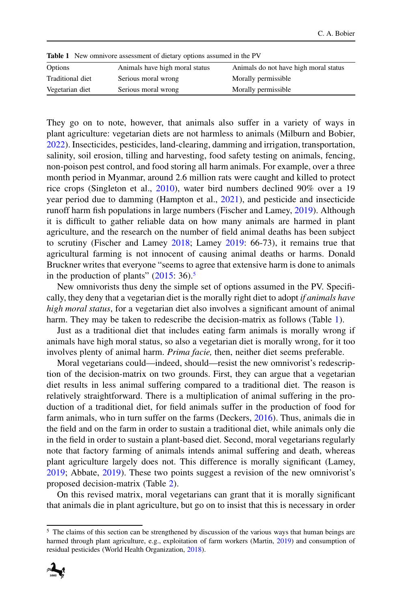| <b>Table 1</b> New omnivore assessment of dietary options assumed in the PV |                                |                                       |  |
|-----------------------------------------------------------------------------|--------------------------------|---------------------------------------|--|
| Options                                                                     | Animals have high moral status | Animals do not have high moral status |  |
| Traditional diet                                                            | Serious moral wrong            | Morally permissible                   |  |
| Vegetarian diet                                                             | Serious moral wrong            | Morally permissible                   |  |

<span id="page-3-1"></span>

They go on to note, however, that animals also suffer in a variety of ways in plant agriculture: vegetarian diets are not harmless to animals (Milburn and Bobier, [2022\)](#page-17-10). Insecticides, pesticides, land-clearing, damming and irrigation, transportation, salinity, soil erosion, tilling and harvesting, food safety testing on animals, fencing, non-poison pest control, and food storing all harm animals. For example, over a three month period in Myanmar, around 2.6 million rats were caught and killed to protect rice crops (Singleton et al., [2010\)](#page-17-11), water bird numbers declined 90% over a 19 year period due to damming (Hampton et al., [2021\)](#page-16-10), and pesticide and insecticide runoff harm fish populations in large numbers (Fischer and Lamey, [2019\)](#page-16-6). Although it is difficult to gather reliable data on how many animals are harmed in plant agriculture, and the research on the number of field animal deaths has been subject to scrutiny (Fischer and Lamey [2018;](#page-16-11) Lamey [2019:](#page-16-6) 66-73), it remains true that agricultural farming is not innocent of causing animal deaths or harms. Donald Bruckner writes that everyone "seems to agree that extensive harm is done to animals in the production of plants"  $(2015: 36)$  $(2015: 36)$ .<sup>5</sup>

New omnivorists thus deny the simple set of options assumed in the PV. Specifically, they deny that a vegetarian diet is the morally right diet to adopt *if animals have high moral status*, for a vegetarian diet also involves a significant amount of animal harm. They may be taken to redescribe the decision-matrix as follows (Table [1\)](#page-3-1).

Just as a traditional diet that includes eating farm animals is morally wrong if animals have high moral status, so also a vegetarian diet is morally wrong, for it too involves plenty of animal harm. *Prima facie,* then, neither diet seems preferable.

Moral vegetarians could—indeed, should—resist the new omnivorist's redescription of the decision-matrix on two grounds. First, they can argue that a vegetarian diet results in less animal suffering compared to a traditional diet. The reason is relatively straightforward. There is a multiplication of animal suffering in the production of a traditional diet, for field animals suffer in the production of food for farm animals, who in turn suffer on the farms (Deckers, [2016\)](#page-15-6). Thus, animals die in the field and on the farm in order to sustain a traditional diet, while animals only die in the field in order to sustain a plant-based diet. Second, moral vegetarians regularly note that factory farming of animals intends animal suffering and death, whereas plant agriculture largely does not. This difference is morally significant (Lamey, [2019;](#page-16-6) Abbate, [2019\)](#page-15-7). These two points suggest a revision of the new omnivorist's proposed decision-matrix (Table [2\)](#page-4-0).

On this revised matrix, moral vegetarians can grant that it is morally significant that animals die in plant agriculture, but go on to insist that this is necessary in order

<span id="page-3-0"></span><sup>&</sup>lt;sup>5</sup> The claims of this section can be strengthened by discussion of the various ways that human beings are harmed through plant agriculture, e.g., exploitation of farm workers (Martin, [2019\)](#page-17-12) and consumption of residual pesticides (World Health Organization, [2018\)](#page-17-13).

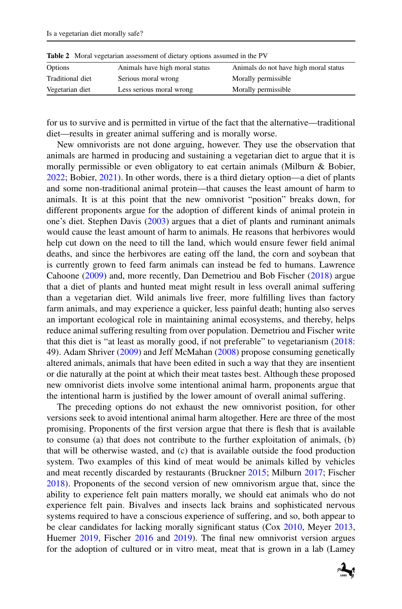| <b>Rapic</b> 2 <b>INDIAL VEGETALIAL ASSESSMENT OF GIGLALY OPTIONS ASSUMED IN THE F V</b> |                                |                                       |  |
|------------------------------------------------------------------------------------------|--------------------------------|---------------------------------------|--|
| Options                                                                                  | Animals have high moral status | Animals do not have high moral status |  |
| Traditional diet                                                                         | Serious moral wrong            | Morally permissible                   |  |
| Vegetarian diet                                                                          | Less serious moral wrong       | Morally permissible                   |  |

<span id="page-4-0"></span>**Proposition** 2<sup>*a*</sup> Moral vegetarian assumed in the PV

for us to survive and is permitted in virtue of the fact that the alternative—traditional diet—results in greater animal suffering and is morally worse.

New omnivorists are not done arguing, however. They use the observation that animals are harmed in producing and sustaining a vegetarian diet to argue that it is morally permissible or even obligatory to eat certain animals (Milburn & Bobier, [2022;](#page-17-10) Bobier, [2021\)](#page-15-8). In other words, there is a third dietary option—a diet of plants and some non-traditional animal protein—that causes the least amount of harm to animals. It is at this point that the new omnivorist "position" breaks down, for different proponents argue for the adoption of different kinds of animal protein in one's diet. Stephen Davis [\(2003\)](#page-15-9) argues that a diet of plants and ruminant animals would cause the least amount of harm to animals. He reasons that herbivores would help cut down on the need to till the land, which would ensure fewer field animal deaths, and since the herbivores are eating off the land, the corn and soybean that is currently grown to feed farm animals can instead be fed to humans. Lawrence Cahoone [\(2009\)](#page-15-10) and, more recently, Dan Demetriou and Bob Fischer [\(2018\)](#page-16-12) argue that a diet of plants and hunted meat might result in less overall animal suffering than a vegetarian diet. Wild animals live freer, more fulfilling lives than factory farm animals, and may experience a quicker, less painful death; hunting also serves an important ecological role in maintaining animal ecosystems, and thereby, helps reduce animal suffering resulting from over population. Demetriou and Fischer write that this diet is "at least as morally good, if not preferable" to vegetarianism [\(2018:](#page-16-12) 49). Adam Shriver [\(2009\)](#page-17-14) and Jeff McMahan [\(2008\)](#page-17-15) propose consuming genetically altered animals, animals that have been edited in such a way that they are insentient or die naturally at the point at which their meat tastes best. Although these proposed new omnivorist diets involve some intentional animal harm, proponents argue that the intentional harm is justified by the lower amount of overall animal suffering.

The preceding options do not exhaust the new omnivorist position, for other versions seek to avoid intentional animal harm altogether. Here are three of the most promising. Proponents of the first version argue that there is flesh that is available to consume (a) that does not contribute to the further exploitation of animals, (b) that will be otherwise wasted, and (c) that is available outside the food production system. Two examples of this kind of meat would be animals killed by vehicles and meat recently discarded by restaurants (Bruckner [2015;](#page-15-5) Milburn [2017;](#page-17-16) Fischer [2018\)](#page-16-13). Proponents of the second version of new omnivorism argue that, since the ability to experience felt pain matters morally, we should eat animals who do not experience felt pain. Bivalves and insects lack brains and sophisticated nervous systems required to have a conscious experience of suffering, and so, both appear to be clear candidates for lacking morally significant status (Cox [2010,](#page-15-11) Meyer [2013,](#page-17-17) Huemer [2019,](#page-16-14) Fischer [2016](#page-16-15) and [2019\)](#page-16-14). The final new omnivorist version argues for the adoption of cultured or in vitro meat, meat that is grown in a lab (Lamey

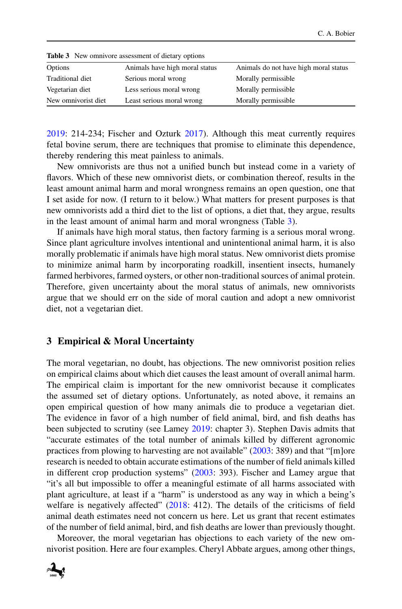| <b>THORE</b> P. T. C., Climatore assessment of dietail, operation |                                |                                       |  |
|-------------------------------------------------------------------|--------------------------------|---------------------------------------|--|
| Options                                                           | Animals have high moral status | Animals do not have high moral status |  |
| Traditional diet                                                  | Serious moral wrong            | Morally permissible                   |  |
| Vegetarian diet                                                   | Less serious moral wrong       | Morally permissible                   |  |
| New omnivorist diet                                               | Least serious moral wrong      | Morally permissible                   |  |

<span id="page-5-0"></span>**Table 3** New omnivore assessment of dietary options

[2019:](#page-16-6) 214-234; Fischer and Ozturk [2017\)](#page-16-16). Although this meat currently requires fetal bovine serum, there are techniques that promise to eliminate this dependence, thereby rendering this meat painless to animals.

New omnivorists are thus not a unified bunch but instead come in a variety of flavors. Which of these new omnivorist diets, or combination thereof, results in the least amount animal harm and moral wrongness remains an open question, one that I set aside for now. (I return to it below.) What matters for present purposes is that new omnivorists add a third diet to the list of options, a diet that, they argue, results in the least amount of animal harm and moral wrongness (Table [3\)](#page-5-0).

If animals have high moral status, then factory farming is a serious moral wrong. Since plant agriculture involves intentional and unintentional animal harm, it is also morally problematic if animals have high moral status. New omnivorist diets promise to minimize animal harm by incorporating roadkill, insentient insects, humanely farmed herbivores, farmed oysters, or other non-traditional sources of animal protein. Therefore, given uncertainty about the moral status of animals, new omnivorists argue that we should err on the side of moral caution and adopt a new omnivorist diet, not a vegetarian diet.

#### **3 Empirical & Moral Uncertainty**

The moral vegetarian, no doubt, has objections. The new omnivorist position relies on empirical claims about which diet causes the least amount of overall animal harm. The empirical claim is important for the new omnivorist because it complicates the assumed set of dietary options. Unfortunately, as noted above, it remains an open empirical question of how many animals die to produce a vegetarian diet. The evidence in favor of a high number of field animal, bird, and fish deaths has been subjected to scrutiny (see Lamey [2019:](#page-16-6) chapter 3). Stephen Davis admits that "accurate estimates of the total number of animals killed by different agronomic practices from plowing to harvesting are not available" [\(2003:](#page-15-9) 389) and that "[m]ore research is needed to obtain accurate estimations of the number of field animals killed in different crop production systems" [\(2003:](#page-15-9) 393). Fischer and Lamey argue that "it's all but impossible to offer a meaningful estimate of all harms associated with plant agriculture, at least if a "harm" is understood as any way in which a being's welfare is negatively affected"  $(2018: 412)$  $(2018: 412)$ . The details of the criticisms of field animal death estimates need not concern us here. Let us grant that recent estimates of the number of field animal, bird, and fish deaths are lower than previously thought.

Moreover, the moral vegetarian has objections to each variety of the new omnivorist position. Here are four examples. Cheryl Abbate argues, among other things,

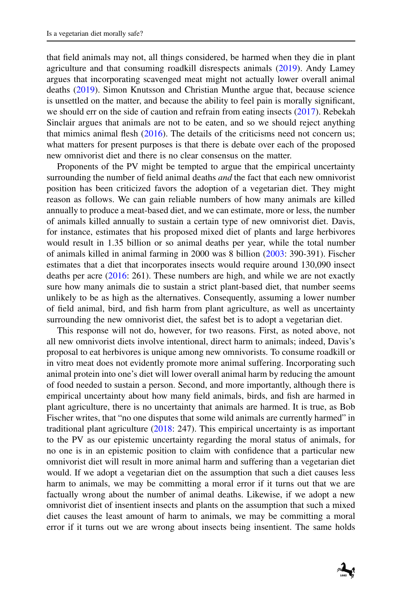that field animals may not, all things considered, be harmed when they die in plant agriculture and that consuming roadkill disrespects animals [\(2019\)](#page-15-7). Andy Lamey argues that incorporating scavenged meat might not actually lower overall animal deaths [\(2019\)](#page-16-6). Simon Knutsson and Christian Munthe argue that, because science is unsettled on the matter, and because the ability to feel pain is morally significant, we should err on the side of caution and refrain from eating insects [\(2017\)](#page-16-17). Rebekah Sinclair argues that animals are not to be eaten, and so we should reject anything that mimics animal flesh [\(2016\)](#page-17-18). The details of the criticisms need not concern us; what matters for present purposes is that there is debate over each of the proposed new omnivorist diet and there is no clear consensus on the matter.

Proponents of the PV might be tempted to argue that the empirical uncertainty surrounding the number of field animal deaths *and* the fact that each new omnivorist position has been criticized favors the adoption of a vegetarian diet. They might reason as follows. We can gain reliable numbers of how many animals are killed annually to produce a meat-based diet, and we can estimate, more or less, the number of animals killed annually to sustain a certain type of new omnivorist diet. Davis, for instance, estimates that his proposed mixed diet of plants and large herbivores would result in 1.35 billion or so animal deaths per year, while the total number of animals killed in animal farming in 2000 was 8 billion [\(2003:](#page-15-9) 390-391). Fischer estimates that a diet that incorporates insects would require around 130,090 insect deaths per acre [\(2016:](#page-16-15) 261). These numbers are high, and while we are not exactly sure how many animals die to sustain a strict plant-based diet, that number seems unlikely to be as high as the alternatives. Consequently, assuming a lower number of field animal, bird, and fish harm from plant agriculture, as well as uncertainty surrounding the new omnivorist diet, the safest bet is to adopt a vegetarian diet.

This response will not do, however, for two reasons. First, as noted above, not all new omnivorist diets involve intentional, direct harm to animals; indeed, Davis's proposal to eat herbivores is unique among new omnivorists. To consume roadkill or in vitro meat does not evidently promote more animal suffering. Incorporating such animal protein into one's diet will lower overall animal harm by reducing the amount of food needed to sustain a person. Second, and more importantly, although there is empirical uncertainty about how many field animals, birds, and fish are harmed in plant agriculture, there is no uncertainty that animals are harmed. It is true, as Bob Fischer writes, that "no one disputes that some wild animals are currently harmed" in traditional plant agriculture [\(2018:](#page-16-13) 247). This empirical uncertainty is as important to the PV as our epistemic uncertainty regarding the moral status of animals, for no one is in an epistemic position to claim with confidence that a particular new omnivorist diet will result in more animal harm and suffering than a vegetarian diet would. If we adopt a vegetarian diet on the assumption that such a diet causes less harm to animals, we may be committing a moral error if it turns out that we are factually wrong about the number of animal deaths. Likewise, if we adopt a new omnivorist diet of insentient insects and plants on the assumption that such a mixed diet causes the least amount of harm to animals, we may be committing a moral error if it turns out we are wrong about insects being insentient. The same holds

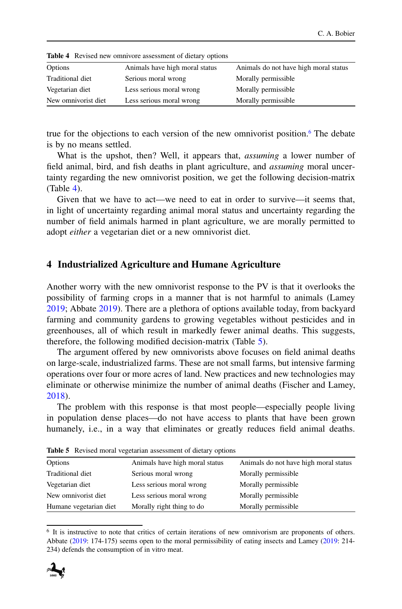| <b>Table 4</b> Revised new omnivore assessment of dietary options |                                |                                       |  |
|-------------------------------------------------------------------|--------------------------------|---------------------------------------|--|
| Options                                                           | Animals have high moral status | Animals do not have high moral status |  |
| Traditional diet                                                  | Serious moral wrong            | Morally permissible                   |  |
| Vegetarian diet                                                   | Less serious moral wrong       | Morally permissible                   |  |
| New omnivorist diet                                               | Less serious moral wrong       | Morally permissible                   |  |

<span id="page-7-1"></span>

true for the objections to each version of the new omnivorist position.<sup>6</sup> The debate is by no means settled.

What is the upshot, then? Well, it appears that, *assuming* a lower number of field animal, bird, and fish deaths in plant agriculture, and *assuming* moral uncertainty regarding the new omnivorist position, we get the following decision-matrix (Table [4\)](#page-7-1).

Given that we have to act—we need to eat in order to survive—it seems that, in light of uncertainty regarding animal moral status and uncertainty regarding the number of field animals harmed in plant agriculture, we are morally permitted to adopt *either* a vegetarian diet or a new omnivorist diet.

### **4 Industrialized Agriculture and Humane Agriculture**

Another worry with the new omnivorist response to the PV is that it overlooks the possibility of farming crops in a manner that is not harmful to animals (Lamey [2019;](#page-16-6) Abbate [2019\)](#page-15-7). There are a plethora of options available today, from backyard farming and community gardens to growing vegetables without pesticides and in greenhouses, all of which result in markedly fewer animal deaths. This suggests, therefore, the following modified decision-matrix (Table [5\)](#page-7-2).

The argument offered by new omnivorists above focuses on field animal deaths on large-scale, industrialized farms. These are not small farms, but intensive farming operations over four or more acres of land. New practices and new technologies may eliminate or otherwise minimize the number of animal deaths (Fischer and Lamey, [2018\)](#page-16-11).

The problem with this response is that most people—especially people living in population dense places—do not have access to plants that have been grown humanely, i.e., in a way that eliminates or greatly reduces field animal deaths.

| Options                | Animals have high moral status | Animals do not have high moral status |
|------------------------|--------------------------------|---------------------------------------|
| Traditional diet       | Serious moral wrong            | Morally permissible                   |
| Vegetarian diet        | Less serious moral wrong       | Morally permissible                   |
| New omnivorist diet    | Less serious moral wrong       | Morally permissible                   |
| Humane vegetarian diet | Morally right thing to do      | Morally permissible                   |
|                        |                                |                                       |

<span id="page-7-2"></span>**Table 5** Revised moral vegetarian assessment of dietary options

<span id="page-7-0"></span><sup>6</sup> It is instructive to note that critics of certain iterations of new omnivorism are proponents of others. Abbate [\(2019:](#page-15-7) 174-175) seems open to the moral permissibility of eating insects and Lamey [\(2019:](#page-16-6) 214- 234) defends the consumption of in vitro meat.

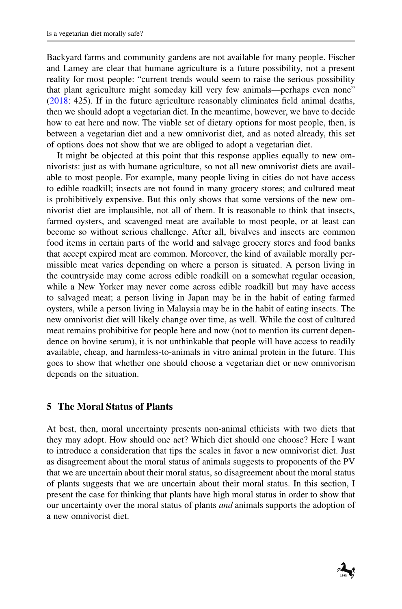Backyard farms and community gardens are not available for many people. Fischer and Lamey are clear that humane agriculture is a future possibility, not a present reality for most people: "current trends would seem to raise the serious possibility that plant agriculture might someday kill very few animals—perhaps even none" [\(2018:](#page-16-11) 425). If in the future agriculture reasonably eliminates field animal deaths, then we should adopt a vegetarian diet. In the meantime, however, we have to decide how to eat here and now. The viable set of dietary options for most people, then, is between a vegetarian diet and a new omnivorist diet, and as noted already, this set of options does not show that we are obliged to adopt a vegetarian diet.

It might be objected at this point that this response applies equally to new omnivorists: just as with humane agriculture, so not all new omnivorist diets are available to most people. For example, many people living in cities do not have access to edible roadkill; insects are not found in many grocery stores; and cultured meat is prohibitively expensive. But this only shows that some versions of the new omnivorist diet are implausible, not all of them. It is reasonable to think that insects, farmed oysters, and scavenged meat are available to most people, or at least can become so without serious challenge. After all, bivalves and insects are common food items in certain parts of the world and salvage grocery stores and food banks that accept expired meat are common. Moreover, the kind of available morally permissible meat varies depending on where a person is situated. A person living in the countryside may come across edible roadkill on a somewhat regular occasion, while a New Yorker may never come across edible roadkill but may have access to salvaged meat; a person living in Japan may be in the habit of eating farmed oysters, while a person living in Malaysia may be in the habit of eating insects. The new omnivorist diet will likely change over time, as well. While the cost of cultured meat remains prohibitive for people here and now (not to mention its current dependence on bovine serum), it is not unthinkable that people will have access to readily available, cheap, and harmless-to-animals in vitro animal protein in the future. This goes to show that whether one should choose a vegetarian diet or new omnivorism depends on the situation.

## **5 The Moral Status of Plants**

At best, then, moral uncertainty presents non-animal ethicists with two diets that they may adopt. How should one act? Which diet should one choose? Here I want to introduce a consideration that tips the scales in favor a new omnivorist diet. Just as disagreement about the moral status of animals suggests to proponents of the PV that we are uncertain about their moral status, so disagreement about the moral status of plants suggests that we are uncertain about their moral status. In this section, I present the case for thinking that plants have high moral status in order to show that our uncertainty over the moral status of plants *and* animals supports the adoption of a new omnivorist diet.

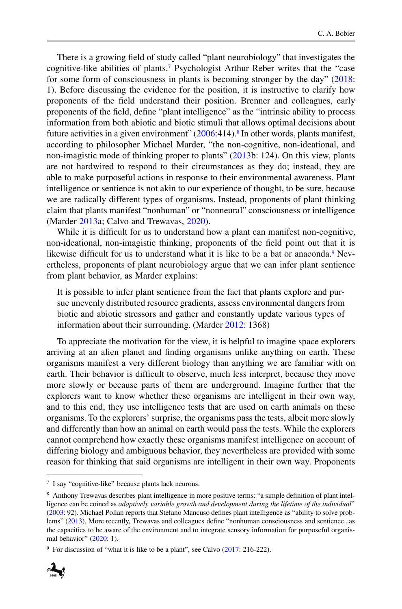There is a growing field of study called "plant neurobiology" that investigates the cognitive-like abilities of plants[.7](#page-9-0) Psychologist Arthur Reber writes that the "case for some form of consciousness in plants is becoming stronger by the day" [\(2018:](#page-17-19) 1). Before discussing the evidence for the position, it is instructive to clarify how proponents of the field understand their position. Brenner and colleagues, early proponents of the field, define "plant intelligence" as the "intrinsic ability to process information from both abiotic and biotic stimuli that allows optimal decisions about future activities in a given environment"  $(2006:414)$  $(2006:414)$ .<sup>8</sup> In other words, plants manifest, according to philosopher Michael Marder, "the non-cognitive, non-ideational, and non-imagistic mode of thinking proper to plants" [\(2013b](#page-17-20): 124). On this view, plants are not hardwired to respond to their circumstances as they do; instead, they are able to make purposeful actions in response to their environmental awareness. Plant intelligence or sentience is not akin to our experience of thought, to be sure, because we are radically different types of organisms. Instead, proponents of plant thinking claim that plants manifest "nonhuman" or "nonneural" consciousness or intelligence (Marder [2013a](#page-16-18); Calvo and Trewavas, [2020\)](#page-15-13).

While it is difficult for us to understand how a plant can manifest non-cognitive, non-ideational, non-imagistic thinking, proponents of the field point out that it is likewise difficult for us to understand what it is like to be a bat or anaconda.<sup>9</sup> Nevertheless, proponents of plant neurobiology argue that we can infer plant sentience from plant behavior, as Marder explains:

It is possible to infer plant sentience from the fact that plants explore and pursue unevenly distributed resource gradients, assess environmental dangers from biotic and abiotic stressors and gather and constantly update various types of information about their surrounding. (Marder [2012:](#page-16-19) 1368)

To appreciate the motivation for the view, it is helpful to imagine space explorers arriving at an alien planet and finding organisms unlike anything on earth. These organisms manifest a very different biology than anything we are familiar with on earth. Their behavior is difficult to observe, much less interpret, because they move more slowly or because parts of them are underground. Imagine further that the explorers want to know whether these organisms are intelligent in their own way, and to this end, they use intelligence tests that are used on earth animals on these organisms. To the explorers' surprise, the organisms pass the tests, albeit more slowly and differently than how an animal on earth would pass the tests. While the explorers cannot comprehend how exactly these organisms manifest intelligence on account of differing biology and ambiguous behavior, they nevertheless are provided with some reason for thinking that said organisms are intelligent in their own way. Proponents

<span id="page-9-2"></span><sup>&</sup>lt;sup>9</sup> For discussion of "what it is like to be a plant", see Calvo  $(2017: 216-222)$  $(2017: 216-222)$ .



<span id="page-9-1"></span><span id="page-9-0"></span><sup>7</sup> I say "cognitive-like" because plants lack neurons.

<sup>8</sup> Anthony Trewavas describes plant intelligence in more positive terms: "a simple definition of plant intelligence can be coined as *adaptively variable growth and development during the lifetime of the individual*" [\(2003:](#page-17-21) 92). Michael Pollan reports that Stefano Mancuso defines plant intelligence as "ability to solve problems" [\(2013\)](#page-17-22). More recently, Trewavas and colleagues define "nonhuman consciousness and sentience...as the capacities to be aware of the environment and to integrate sensory information for purposeful organismal behavior" [\(2020:](#page-17-23) 1).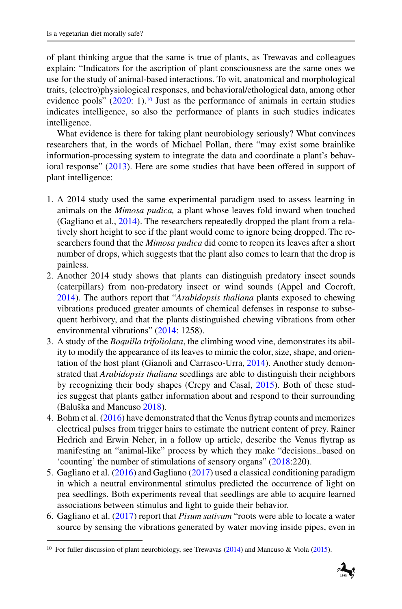of plant thinking argue that the same is true of plants, as Trewavas and colleagues explain: "Indicators for the ascription of plant consciousness are the same ones we use for the study of animal-based interactions. To wit, anatomical and morphological traits, (electro)physiological responses, and behavioral/ethological data, among other evidence pools"  $(2020: 1)$  $(2020: 1)$ .<sup>10</sup> Just as the performance of animals in certain studies indicates intelligence, so also the performance of plants in such studies indicates intelligence.

What evidence is there for taking plant neurobiology seriously? What convinces researchers that, in the words of Michael Pollan, there "may exist some brainlike information-processing system to integrate the data and coordinate a plant's behavioral response" [\(2013\)](#page-17-22). Here are some studies that have been offered in support of plant intelligence:

- 1. A 2014 study used the same experimental paradigm used to assess learning in animals on the *Mimosa pudica,* a plant whose leaves fold inward when touched (Gagliano et al., [2014\)](#page-16-20). The researchers repeatedly dropped the plant from a relatively short height to see if the plant would come to ignore being dropped. The researchers found that the *Mimosa pudica* did come to reopen its leaves after a short number of drops, which suggests that the plant also comes to learn that the drop is painless.
- 2. Another 2014 study shows that plants can distinguish predatory insect sounds (caterpillars) from non-predatory insect or wind sounds (Appel and Cocroft, [2014\)](#page-15-15). The authors report that "*Arabidopsis thaliana* plants exposed to chewing vibrations produced greater amounts of chemical defenses in response to subsequent herbivory, and that the plants distinguished chewing vibrations from other environmental vibrations" [\(2014:](#page-15-15) 1258).
- 3. A study of the *Boquilla trifoliolata*, the climbing wood vine, demonstrates its ability to modify the appearance of its leaves to mimic the color, size, shape, and orientation of the host plant (Gianoli and Carrasco-Urra, [2014\)](#page-16-21). Another study demonstrated that *Arabidopsis thaliana* seedlings are able to distinguish their neighbors by recognizing their body shapes (Crepy and Casal, [2015\)](#page-15-16). Both of these studies suggest that plants gather information about and respond to their surrounding (Baluška and Mancuso [2018\)](#page-15-17).
- 4. Bohm et al. [\(2016\)](#page-15-18) have demonstrated that the Venus flytrap counts and memorizes electrical pulses from trigger hairs to estimate the nutrient content of prey. Rainer Hedrich and Erwin Neher, in a follow up article, describe the Venus flytrap as manifesting an "animal-like" process by which they make "decisions...based on 'counting' the number of stimulations of sensory organs" [\(2018:](#page-16-22)220).
- 5. Gagliano et al. [\(2016\)](#page-16-23) and Gagliano [\(2017\)](#page-16-24) used a classical conditioning paradigm in which a neutral environmental stimulus predicted the occurrence of light on pea seedlings. Both experiments reveal that seedlings are able to acquire learned associations between stimulus and light to guide their behavior.
- 6. Gagliano et al. [\(2017\)](#page-16-25) report that *Pisum sativum* "roots were able to locate a water source by sensing the vibrations generated by water moving inside pipes, even in

<span id="page-10-0"></span><sup>&</sup>lt;sup>10</sup> For fuller discussion of plant neurobiology, see Trewavas [\(2014\)](#page-17-24) and Mancuso & Viola [\(2015\)](#page-16-26).

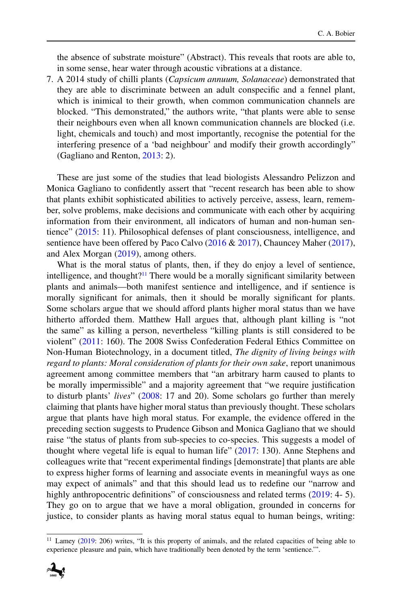the absence of substrate moisture" (Abstract). This reveals that roots are able to, in some sense, hear water through acoustic vibrations at a distance.

7. A 2014 study of chilli plants (*Capsicum annuum, Solanaceae*) demonstrated that they are able to discriminate between an adult conspecific and a fennel plant, which is inimical to their growth, when common communication channels are blocked. "This demonstrated," the authors write, "that plants were able to sense their neighbours even when all known communication channels are blocked (i.e. light, chemicals and touch) and most importantly, recognise the potential for the interfering presence of a 'bad neighbour' and modify their growth accordingly" (Gagliano and Renton, [2013:](#page-16-27) 2).

These are just some of the studies that lead biologists Alessandro Pelizzon and Monica Gagliano to confidently assert that "recent research has been able to show that plants exhibit sophisticated abilities to actively perceive, assess, learn, remember, solve problems, make decisions and communicate with each other by acquiring information from their environment, all indicators of human and non-human sentience" [\(2015:](#page-17-25) 11). Philosophical defenses of plant consciousness, intelligence, and sentience have been offered by Paco Calvo [\(2016](#page-15-19) & [2017\)](#page-15-14), Chauncey Maher [\(2017\)](#page-16-28), and Alex Morgan [\(2019\)](#page-17-26), among others.

What is the moral status of plants, then, if they do enjoy a level of sentience, intelligence, and thought?<sup>11</sup> There would be a morally significant similarity between plants and animals—both manifest sentience and intelligence, and if sentience is morally significant for animals, then it should be morally significant for plants. Some scholars argue that we should afford plants higher moral status than we have hitherto afforded them. Matthew Hall argues that, although plant killing is "not the same" as killing a person, nevertheless "killing plants is still considered to be violent" [\(2011:](#page-16-29) 160). The 2008 Swiss Confederation Federal Ethics Committee on Non-Human Biotechnology, in a document titled, *The dignity of living beings with regard to plants: Moral consideration of plants for their own sake*, report unanimous agreement among committee members that "an arbitrary harm caused to plants to be morally impermissible" and a majority agreement that "we require justification to disturb plants' *lives*" [\(2008:](#page-17-27) 17 and 20). Some scholars go further than merely claiming that plants have higher moral status than previously thought. These scholars argue that plants have high moral status. For example, the evidence offered in the preceding section suggests to Prudence Gibson and Monica Gagliano that we should raise "the status of plants from sub-species to co-species. This suggests a model of thought where vegetal life is equal to human life" [\(2017:](#page-16-25) 130). Anne Stephens and colleagues write that "recent experimental findings [demonstrate] that plants are able to express higher forms of learning and associate events in meaningful ways as one may expect of animals" and that this should lead us to redefine our "narrow and highly anthropocentric definitions" of consciousness and related terms [\(2019:](#page-17-28) 4- 5). They go on to argue that we have a moral obligation, grounded in concerns for justice, to consider plants as having moral status equal to human beings, writing:

<span id="page-11-0"></span><sup>&</sup>lt;sup>11</sup> Lamey [\(2019:](#page-16-6) 206) writes, "It is this property of animals, and the related capacities of being able to experience pleasure and pain, which have traditionally been denoted by the term 'sentience.'".

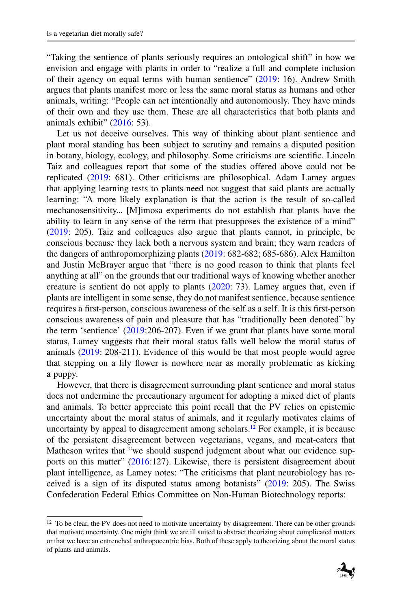"Taking the sentience of plants seriously requires an ontological shift" in how we envision and engage with plants in order to "realize a full and complete inclusion of their agency on equal terms with human sentience" [\(2019:](#page-17-28) 16). Andrew Smith argues that plants manifest more or less the same moral status as humans and other animals, writing: "People can act intentionally and autonomously. They have minds of their own and they use them. These are all characteristics that both plants and animals exhibit" [\(2016:](#page-17-29) 53).

Let us not deceive ourselves. This way of thinking about plant sentience and plant moral standing has been subject to scrutiny and remains a disputed position in botany, biology, ecology, and philosophy. Some criticisms are scientific. Lincoln Taiz and colleagues report that some of the studies offered above could not be replicated [\(2019:](#page-17-30) 681). Other criticisms are philosophical. Adam Lamey argues that applying learning tests to plants need not suggest that said plants are actually learning: "A more likely explanation is that the action is the result of so-called mechanosensitivity... [M]imosa experiments do not establish that plants have the ability to learn in any sense of the term that presupposes the existence of a mind" [\(2019:](#page-17-30) 205). Taiz and colleagues also argue that plants cannot, in principle, be conscious because they lack both a nervous system and brain; they warn readers of the dangers of anthropomorphizing plants [\(2019:](#page-17-30) 682-682; 685-686). Alex Hamilton and Justin McBrayer argue that "there is no good reason to think that plants feel anything at all" on the grounds that our traditional ways of knowing whether another creature is sentient do not apply to plants [\(2020:](#page-16-30) 73). Lamey argues that, even if plants are intelligent in some sense, they do not manifest sentience, because sentience requires a first-person, conscious awareness of the self as a self. It is this first-person conscious awareness of pain and pleasure that has "traditionally been denoted" by the term 'sentience' [\(2019:](#page-16-6)206-207). Even if we grant that plants have some moral status, Lamey suggests that their moral status falls well below the moral status of animals [\(2019:](#page-16-6) 208-211). Evidence of this would be that most people would agree that stepping on a lily flower is nowhere near as morally problematic as kicking a puppy.

However, that there is disagreement surrounding plant sentience and moral status does not undermine the precautionary argument for adopting a mixed diet of plants and animals. To better appreciate this point recall that the PV relies on epistemic uncertainty about the moral status of animals, and it regularly motivates claims of uncertainty by appeal to disagreement among scholars.<sup>12</sup> For example, it is because of the persistent disagreement between vegetarians, vegans, and meat-eaters that Matheson writes that "we should suspend judgment about what our evidence sup-ports on this matter" [\(2016:](#page-17-6)127). Likewise, there is persistent disagreement about plant intelligence, as Lamey notes: "The criticisms that plant neurobiology has received is a sign of its disputed status among botanists" [\(2019:](#page-16-6) 205). The Swiss Confederation Federal Ethics Committee on Non-Human Biotechnology reports:

<span id="page-12-0"></span><sup>&</sup>lt;sup>12</sup> To be clear, the PV does not need to motivate uncertainty by disagreement. There can be other grounds that motivate uncertainty. One might think we are ill suited to abstract theorizing about complicated matters or that we have an entrenched anthropocentric bias. Both of these apply to theorizing about the moral status of plants and animals.

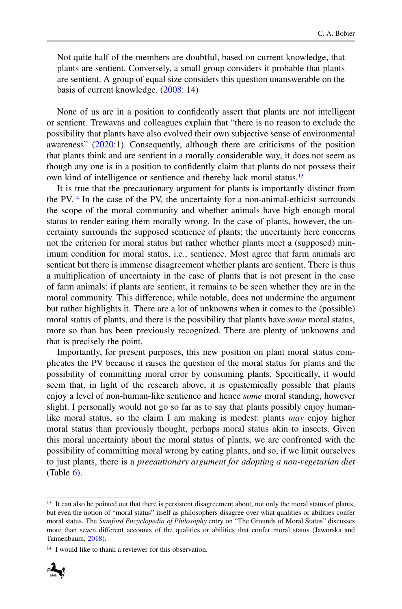Not quite half of the members are doubtful, based on current knowledge, that plants are sentient. Conversely, a small group considers it probable that plants are sentient. A group of equal size considers this question unanswerable on the basis of current knowledge. [\(2008:](#page-17-27) 14)

None of us are in a position to confidently assert that plants are not intelligent or sentient. Trewavas and colleagues explain that "there is no reason to exclude the possibility that plants have also evolved their own subjective sense of environmental awareness" [\(2020:](#page-17-23)1). Consequently, although there are criticisms of the position that plants think and are sentient in a morally considerable way, it does not seem as though any one is in a position to confidently claim that plants do not possess their own kind of intelligence or sentience and thereby lack moral status.<sup>13</sup>

It is true that the precautionary argument for plants is importantly distinct from the P[V.14](#page-13-1) In the case of the PV, the uncertainty for a non-animal-ethicist surrounds the scope of the moral community and whether animals have high enough moral status to render eating them morally wrong. In the case of plants, however, the uncertainty surrounds the supposed sentience of plants; the uncertainty here concerns not the criterion for moral status but rather whether plants meet a (supposed) minimum condition for moral status, i.e., sentience. Most agree that farm animals are sentient but there is immense disagreement whether plants are sentient. There is thus a multiplication of uncertainty in the case of plants that is not present in the case of farm animals: if plants are sentient, it remains to be seen whether they are in the moral community. This difference, while notable, does not undermine the argument but rather highlights it. There are a lot of unknowns when it comes to the (possible) moral status of plants, and there is the possibility that plants have *some* moral status, more so than has been previously recognized. There are plenty of unknowns and that is precisely the point.

Importantly, for present purposes, this new position on plant moral status complicates the PV because it raises the question of the moral status for plants and the possibility of committing moral error by consuming plants. Specifically, it would seem that, in light of the research above, it is epistemically possible that plants enjoy a level of non-human-like sentience and hence *some* moral standing, however slight. I personally would not go so far as to say that plants possibly enjoy humanlike moral status, so the claim I am making is modest: plants *may* enjoy higher moral status than previously thought, perhaps moral status akin to insects. Given this moral uncertainty about the moral status of plants, we are confronted with the possibility of committing moral wrong by eating plants, and so, if we limit ourselves to just plants, there is a *precautionary argument for adopting a non-vegetarian diet*  $(Table 6)$  $(Table 6)$ .

<span id="page-13-1"></span><sup>&</sup>lt;sup>14</sup> I would like to thank a reviewer for this observation.



<span id="page-13-0"></span><sup>&</sup>lt;sup>13</sup> It can also be pointed out that there is persistent disagreement about, not only the moral status of plants, but even the notion of "moral status" itself as philosophers disagree over what qualities or abilities confer moral status. The *Stanford Encyclopedia of Philosophy* entry on "The Grounds of Moral Status" discusses more than seven different accounts of the qualities or abilities that confer moral status (Jaworska and Tannenbaum, [2018\)](#page-16-31).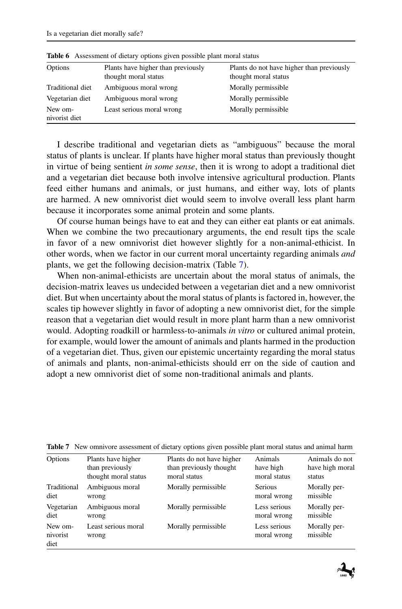| Options                  | Plants have higher than previously<br>thought moral status | Plants do not have higher than previously<br>thought moral status |
|--------------------------|------------------------------------------------------------|-------------------------------------------------------------------|
| Traditional diet         | Ambiguous moral wrong                                      | Morally permissible                                               |
| Vegetarian diet          | Ambiguous moral wrong                                      | Morally permissible                                               |
| New om-<br>nivorist diet | Least serious moral wrong                                  | Morally permissible                                               |

<span id="page-14-0"></span>**Table 6** Assessment of dietary options given possible plant moral status

I describe traditional and vegetarian diets as "ambiguous" because the moral status of plants is unclear. If plants have higher moral status than previously thought in virtue of being sentient *in some sense*, then it is wrong to adopt a traditional diet and a vegetarian diet because both involve intensive agricultural production. Plants feed either humans and animals, or just humans, and either way, lots of plants are harmed. A new omnivorist diet would seem to involve overall less plant harm because it incorporates some animal protein and some plants.

Of course human beings have to eat and they can either eat plants or eat animals. When we combine the two precautionary arguments, the end result tips the scale in favor of a new omnivorist diet however slightly for a non-animal-ethicist. In other words, when we factor in our current moral uncertainty regarding animals *and* plants, we get the following decision-matrix (Table [7\)](#page-14-1).

When non-animal-ethicists are uncertain about the moral status of animals, the decision-matrix leaves us undecided between a vegetarian diet and a new omnivorist diet. But when uncertainty about the moral status of plants is factored in, however, the scales tip however slightly in favor of adopting a new omnivorist diet, for the simple reason that a vegetarian diet would result in more plant harm than a new omnivorist would. Adopting roadkill or harmless-to-animals *in vitro* or cultured animal protein, for example, would lower the amount of animals and plants harmed in the production of a vegetarian diet. Thus, given our epistemic uncertainty regarding the moral status of animals and plants, non-animal-ethicists should err on the side of caution and adopt a new omnivorist diet of some non-traditional animals and plants.

| Options                     | Plants have higher           | Plants do not have higher | Animals                     | Animals do not           |
|-----------------------------|------------------------------|---------------------------|-----------------------------|--------------------------|
|                             | than previously              | than previously thought   | have high                   | have high moral          |
|                             | thought moral status         | moral status              | moral status                | status                   |
| Traditional                 | Ambiguous moral              | Morally permissible       | <b>Serious</b>              | Morally per-             |
| diet                        | wrong                        |                           | moral wrong                 | missible                 |
| Vegetarian                  | Ambiguous moral              | Morally permissible       | Less serious                | Morally per-             |
| diet                        | wrong                        |                           | moral wrong                 | missible                 |
| New om-<br>nivorist<br>diet | Least serious moral<br>wrong | Morally permissible       | Less serious<br>moral wrong | Morally per-<br>missible |

<span id="page-14-1"></span>**Table 7** New omnivore assessment of dietary options given possible plant moral status and animal harm

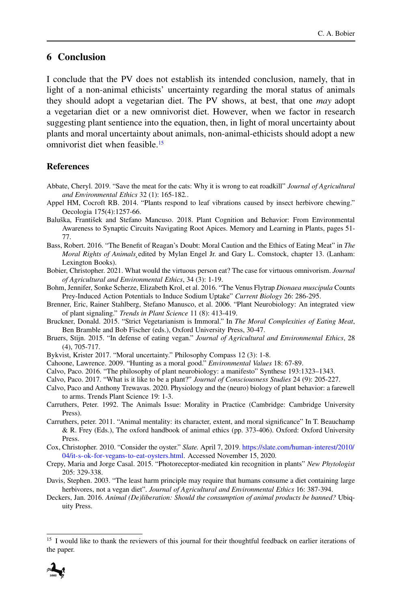## **6 Conclusion**

I conclude that the PV does not establish its intended conclusion, namely, that in light of a non-animal ethicists' uncertainty regarding the moral status of animals they should adopt a vegetarian diet. The PV shows, at best, that one *may* adopt a vegetarian diet or a new omnivorist diet. However, when we factor in research suggesting plant sentience into the equation, then, in light of moral uncertainty about plants and moral uncertainty about animals, non-animal-ethicists should adopt a new omnivorist diet when feasible[.15](#page-15-20)

#### **References**

- <span id="page-15-7"></span>Abbate, Cheryl. 2019. "Save the meat for the cats: Why it is wrong to eat roadkill" *Journal of Agricultural and Environmental Ethics* 32 (1): 165-182*.*.
- <span id="page-15-15"></span>Appel HM, Cocroft RB. 2014. "Plants respond to leaf vibrations caused by insect herbivore chewing." Oecologia 175(4):1257-66.
- <span id="page-15-17"></span>Baluška, František and Stefano Mancuso. 2018. Plant Cognition and Behavior: From Environmental Awareness to Synaptic Circuits Navigating Root Apices. Memory and Learning in Plants, pages 51- 77.
- <span id="page-15-4"></span>Bass, Robert. 2016. "The Benefit of Reagan's Doubt: Moral Caution and the Ethics of Eating Meat" in *The Moral Rights of Animals¸*edited by Mylan Engel Jr. and Gary L. Comstock, chapter 13. (Lanham: Lexington Books).
- <span id="page-15-8"></span>Bobier, Christopher. 2021. What would the virtuous person eat? The case for virtuous omnivorism. *Journal of Agricultural and Environmental Ethics*, 34 (3): 1-19.
- <span id="page-15-18"></span>Bohm, Jennifer, Sonke Scherze, Elizabeth Krol, et al. 2016. "The Venus Flytrap *Dionaea muscipula* Counts Prey-Induced Action Potentials to Induce Sodium Uptake" *Current Biology* 26: 286-295.
- <span id="page-15-12"></span>Brenner, Eric, Rainer Stahlberg, Stefano Manusco, et al. 2006. "Plant Neurobiology: An integrated view of plant signaling." *Trends in Plant Science* 11 (8): 413-419.
- <span id="page-15-5"></span><span id="page-15-0"></span>Bruckner, Donald. 2015. "Strict Vegetarianism is Immoral." In *The Moral Complexities of Eating Meat*, Ben Bramble and Bob Fischer (eds.), Oxford University Press, 30-47.
- Bruers, Stijn. 2015. "In defense of eating vegan." *Journal of Agricultural and Environmental Ethics*, 28 (4), 705-717.
- <span id="page-15-10"></span><span id="page-15-3"></span>Bykvist, Krister 2017. "Moral uncertainty." Philosophy Compass 12 (3): 1-8.
- <span id="page-15-19"></span>Cahoone, Lawrence. 2009. "Hunting as a moral good." *Environmental Values* 18: 67-89.
- <span id="page-15-14"></span>Calvo, Paco. 2016. "The philosophy of plant neurobiology: a manifesto" Synthese 193:1323–1343.
- <span id="page-15-13"></span>Calvo, Paco. 2017. "What is it like to be a plant?" *Journal of Consciousness Studies* 24 (9): 205-227.
- Calvo, Paco and Anthony Trewavas. 2020. Physiology and the (neuro) biology of plant behavior: a farewell to arms. Trends Plant Science 19: 1-3.
- <span id="page-15-2"></span>Carruthers, Peter. 1992. The Animals Issue: Morality in Practice (Cambridge: Cambridge University Press).
- <span id="page-15-1"></span>Carruthers, peter. 2011. "Animal mentality: its character, extent, and moral significance" In T. Beauchamp & R. Frey (Eds.), The oxford handbook of animal ethics (pp. 373-406). Oxford: Oxford University Press.
- <span id="page-15-11"></span>Cox, Christopher. 2010. "Consider the oyster." *Slate.* April 7, 2019. [https://slate.com/human-interest/2010/](https://slate.com/human-interest/2010/04/it-s-ok-for-vegans-to-eat-oysters.html) [04/it-s-ok-for-vegans-to-eat-oysters.html.](https://slate.com/human-interest/2010/04/it-s-ok-for-vegans-to-eat-oysters.html) Accessed November 15, 2020.
- <span id="page-15-16"></span>Crepy, Maria and Jorge Casal. 2015. "Photoreceptor-mediated kin recognition in plants" *New Phytologist* 205: 329-338.
- <span id="page-15-9"></span>Davis, Stephen. 2003. "The least harm principle may require that humans consume a diet containing large herbivores, not a vegan diet". *Journal of Agricultural and Environmental Ethics* 16: 387-394.
- <span id="page-15-6"></span>Deckers, Jan. 2016. *Animal (De)liberation: Should the consumption of animal products be banned?* Ubiquity Press.

<span id="page-15-20"></span><sup>15</sup> I would like to thank the reviewers of this journal for their thoughtful feedback on earlier iterations of the paper.

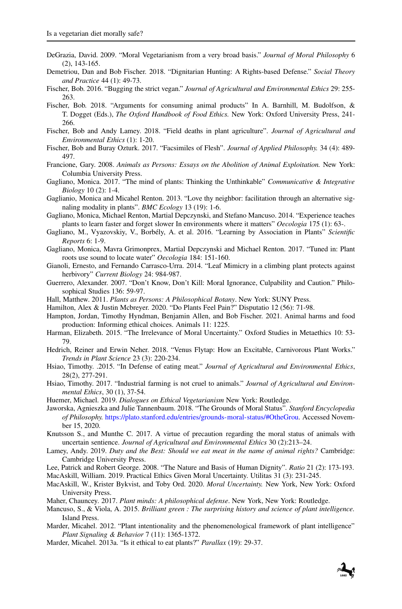- <span id="page-16-12"></span><span id="page-16-1"></span>DeGrazia, David. 2009. "Moral Vegetarianism from a very broad basis." *Journal of Moral Philosophy* 6 (2), 143-165.
- Demetriou, Dan and Bob Fischer. 2018. "Dignitarian Hunting: A Rights-based Defense." *Social Theory and Practice* 44 (1): 49-73.
- <span id="page-16-15"></span><span id="page-16-13"></span>Fischer, Bob. 2016. "Bugging the strict vegan." *Journal of Agricultural and Environmental Ethics* 29: 255- 263.
- Fischer, Bob. 2018. "Arguments for consuming animal products" In A. Barnhill, M. Budolfson, & T. Dogget (Eds.), *The Oxford Handbook of Food Ethics.* New York: Oxford University Press, 241- 266.
- <span id="page-16-16"></span><span id="page-16-11"></span>Fischer, Bob and Andy Lamey. 2018. "Field deaths in plant agriculture". *Journal of Agricultural and Environmental Ethics* (1): 1-20.
- Fischer, Bob and Buray Ozturk. 2017. "Facsimiles of Flesh". *Journal of Applied Philosophy.* 34 (4): 489- 497.
- <span id="page-16-24"></span><span id="page-16-0"></span>Francione, Gary. 2008. *Animals as Persons: Essays on the Abolition of Animal Exploitation.* New York: Columbia University Press.
- <span id="page-16-27"></span>Gagliano, Monica. 2017. "The mind of plants: Thinking the Unthinkable" *Communicative & Integrative Biology* 10 (2): 1-4.
- Gaglianio, Monica and Micahel Renton. 2013. "Love thy neighbor: facilitation through an alternative signaling modality in plants". *BMC Ecology* 13 (19): 1-6.
- <span id="page-16-20"></span>Gagliano, Monica, Michael Renton, Martial Depczynski, and Stefano Mancuso. 2014. "Experience teaches plants to learn faster and forget slower In environments where it matters" *Oecologia* 175 (1): 63-.
- <span id="page-16-23"></span>Gagliano, M., Vyazovskiy, V., Borbély, A. et al. 2016. "Learning by Association in Plants" *Scientific Reports* 6: 1-9.
- <span id="page-16-25"></span><span id="page-16-21"></span>Gagliano, Monica, Mavra Grimonprex, Martial Depczynski and Michael Renton. 2017. "Tuned in: Plant roots use sound to locate water" *Oecologia* 184: 151-160.
- Gianoli, Ernesto, and Fernando Carrasco-Urra. 2014. "Leaf Mimicry in a climbing plant protects against herbivory" *Current Biology* 24: 984-987.
- <span id="page-16-29"></span><span id="page-16-5"></span>Guerrero, Alexander. 2007. "Don't Know, Don't Kill: Moral Ignorance, Culpability and Caution." Philosophical Studies 136: 59-97.
- <span id="page-16-30"></span>Hall, Matthew. 2011. *Plants as Persons: A Philosophical Botany*. New York: SUNY Press.
- <span id="page-16-10"></span>Hamilton, Alex & Justin Mcbreyer. 2020. "Do Plants Feel Pain?" Disputatio 12 (56): 71-98.
- <span id="page-16-8"></span>Hampton, Jordan, Timothy Hyndman, Benjamin Allen, and Bob Fischer. 2021. Animal harms and food production: Informing ethical choices. Animals 11: 1225.
- Harman, Elizabeth. 2015. "The Irrelevance of Moral Uncertainty." Oxford Studies in Metaethics 10: 53- 79.
- <span id="page-16-22"></span>Hedrich, Reiner and Erwin Neher. 2018. "Venus Flytap: How an Excitable, Carnivorous Plant Works." *Trends in Plant Science* 23 (3): 220-234.
- <span id="page-16-2"></span>Hsiao, Timothy. .2015. "In Defense of eating meat." *Journal of Agricultural and Environmental Ethics*, 28(2), 277-291.
- <span id="page-16-3"></span>Hsiao, Timothy. 2017. "Industrial farming is not cruel to animals." *Journal of Agricultural and Environmental Ethics*, 30 (1), 37-54.
- <span id="page-16-31"></span><span id="page-16-14"></span>Huemer, Michael. 2019. *Dialogues on Ethical Vegetarianism* New York: Routledge.
- Jaworska, Agnieszka and Julie Tannenbaum. 2018. "The Grounds of Moral Status". *Stanford Encyclopedia of Philosophy.* [https://plato.stanford.edu/entries/grounds-moral-status/#OtheGrou.](https://plato.stanford.edu/entries/grounds-moral-status/#OtheGrou) Accessed November 15, 2020.
- <span id="page-16-17"></span>Knutsson S., and Munthe C. 2017. A virtue of precaution regarding the moral status of animals with uncertain sentience. *Journal of Agricultural and Environmental Ethics* 30 (2):213–24.
- <span id="page-16-6"></span>Lamey, Andy. 2019. *Duty and the Best: Should we eat meat in the name of animal rights?* Cambridge: Cambridge University Press.
- <span id="page-16-7"></span><span id="page-16-4"></span>Lee, Patrick and Robert George. 2008. "The Nature and Basis of Human Dignity". *Ratio* 21 (2): 173-193.
- <span id="page-16-9"></span>MacAskill, William. 2019. Practical Ethics Given Moral Uncertainty. Utilitas 31 (3): 231-245.
- MacAskill, W., Krister Bykvist, and Toby Ord. 2020. *Moral Uncertainty.* New York, New York: Oxford University Press.
- <span id="page-16-28"></span><span id="page-16-26"></span>Maher, Chauncey. 2017. *Plant minds: A philosophical defense*. New York, New York: Routledge.
- Mancuso, S., & Viola, A. 2015. *Brilliant green : The surprising history and science of plant intelligence*. Island Press.
- <span id="page-16-19"></span>Marder, Micahel. 2012. "Plant intentionality and the phenomenological framework of plant intelligence" *Plant Signaling & Behavior* 7 (11): 1365-1372.
- <span id="page-16-18"></span>Marder, Micahel. 2013a. "Is it ethical to eat plants?" *Parallax* (19): 29-37.